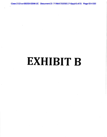Casse 2:122 cov-00657333-ODDW-JC Document 28-7 Fileide 07/02/18 2. Page 1 ed of 21 Page 1 D # 3192

## EXHIBIT B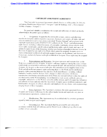## COPYRIGHT ASSIGNMENT AGREEMENT

This Copyright Assignment Agreement is dated effective as of December 20, 2011, by and among Heartbreaker Digital LLC ("Assignor") and AF Holdings. LLC, a Nevis limited liability company ("Assignee").

For good and valuable consideration, the receipt and sufficiency of which are hereby acknowledged, the parties agree as follows:

Assignment. Assignor hereby irrevocably assigns, conveys and otherwise  $\mathbf{1}$ . transfers to Assignee, and its respective successors, licensees, and assigns, all rights, title and interest worldwide in and to that certain work titled "Popular Demand" and associated with copyright registration number PA0001754383 (collectively the "Work") and all proprietary rights therein, including, without limitation, all copyrights, trademarks, design patents, trade secret rights, moral rights, and all contract and licensing rights, and all claims and causes of action of respect to any of the foregoing, whether now known or hereafter to become known. In the event Assignor has any right in the Work which cannot be assigned. Assignor agrees to waive enforcement worldwide of such right against Assignee, its distributors, and customers or, if necessary, exclusively license such right worldwide to Assignee. These rights may be assigned by Assignee.

 $\overline{2}$ . Representations and Warranties. Assignor represents and warrants that: (a) the Work was created solely by Assignor. Assignor's full-time employees during the course of their employment, or independent contractors who assigned all right, title and interest in their work to Assignor; (b) Assignor is the owner of all rights, title and interest in the tangible forms of the Work and all intellectual property rights protecting them: (c) the Work and the intellectual property rights protecting them are free and clear of all encumbrances, including, without limitation, security interests, licenses, liens, charges or other restrictions: (d) the use, reproduction, distribution, or modification of the Work does not and will not violate the rights of any third parties in the Work including, but not limited to, trade secrets, publicity, privacy, copyrights, and patents; (e) the Work is not in the public domain; and (f) Assignor has full power and authority to make and enter into this Agreement. Assignor agrees to defend, indemnify, and hold harmless Assignee, its officers, directors and employees for any claims, suits or proceedings alleging breach of these warranties.

3. Entire Agreement. This Agreement constitutes the entire agreement between Assignor and Assignee with respect to the subject matter herein and supersedes any prior or contemporaneous agreements, written or oral.

Modifications. This Agreement may be modified only by a written agreement signed by both Assignor and Assignee.

5. Governing Law. This Agreement shall be governed by and enforced in accordance with the State of California and the Ninth Circuit, without giving effect to any conflicts of laws principles.